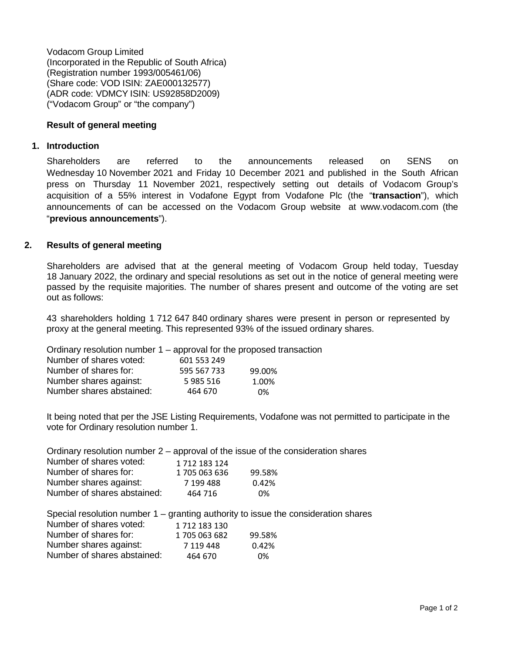Vodacom Group Limited (Incorporated in the Republic of South Africa) (Registration number 1993/005461/06) (Share code: VOD ISIN: ZAE000132577) (ADR code: VDMCY ISIN: US92858D2009) ("Vodacom Group" or "the company")

## **Result of general meeting**

#### **1. Introduction**

Shareholders are referred to the announcements released on SENS on Wednesday 10 November 2021 and Friday 10 December 2021 and published in the South African press on Thursday 11 November 2021, respectively setting out details of Vodacom Group's acquisition of a 55% interest in Vodafone Egypt from Vodafone Plc (the "**transaction**"), which announcements of can be accessed on the Vodacom Group website at [www.vodacom.com](http://www.vodacom.com/) (the "**previous announcements**").

# **2. Results of general meeting**

Shareholders are advised that at the general meeting of Vodacom Group held today, Tuesday 18 January 2022, the ordinary and special resolutions as set out in the notice of general meeting were passed by the requisite majorities. The number of shares present and outcome of the voting are set out as follows:

43 shareholders holding 1 712 647 840 ordinary shares were present in person or represented by proxy at the general meeting. This represented 93% of the issued ordinary shares.

Ordinary resolution number 1 – approval for the proposed transaction

| Number of shares voted:  | 601 553 249 |        |
|--------------------------|-------------|--------|
| Number of shares for:    | 595 567 733 | 99.00% |
| Number shares against:   | 5985516     | 1.00%  |
| Number shares abstained: | 464 670     | 0%     |

It being noted that per the JSE Listing Requirements, Vodafone was not permitted to participate in the vote for Ordinary resolution number 1.

| Ordinary resolution number $2$ – approval of the issue of the consideration shares |               |        |  |
|------------------------------------------------------------------------------------|---------------|--------|--|
| Number of shares voted:                                                            | 1 712 183 124 |        |  |
| Number of shares for:                                                              | 1705 063 636  | 99.58% |  |
| Number shares against:                                                             | 7 199 488     | 0.42%  |  |
| Number of shares abstained:                                                        | 464 716       | 0%     |  |
|                                                                                    |               |        |  |

|     |  |  |  |  | Special resolution number 1 – granting authority to issue the consideration shares |  |  |
|-----|--|--|--|--|------------------------------------------------------------------------------------|--|--|
| . . |  |  |  |  |                                                                                    |  |  |

| Number of shares voted:     | 1712183130    |        |
|-----------------------------|---------------|--------|
| Number of shares for:       | 1 705 063 682 | 99.58% |
| Number shares against:      | 7 119 448     | 0.42%  |
| Number of shares abstained: | 464 670       | 0%     |